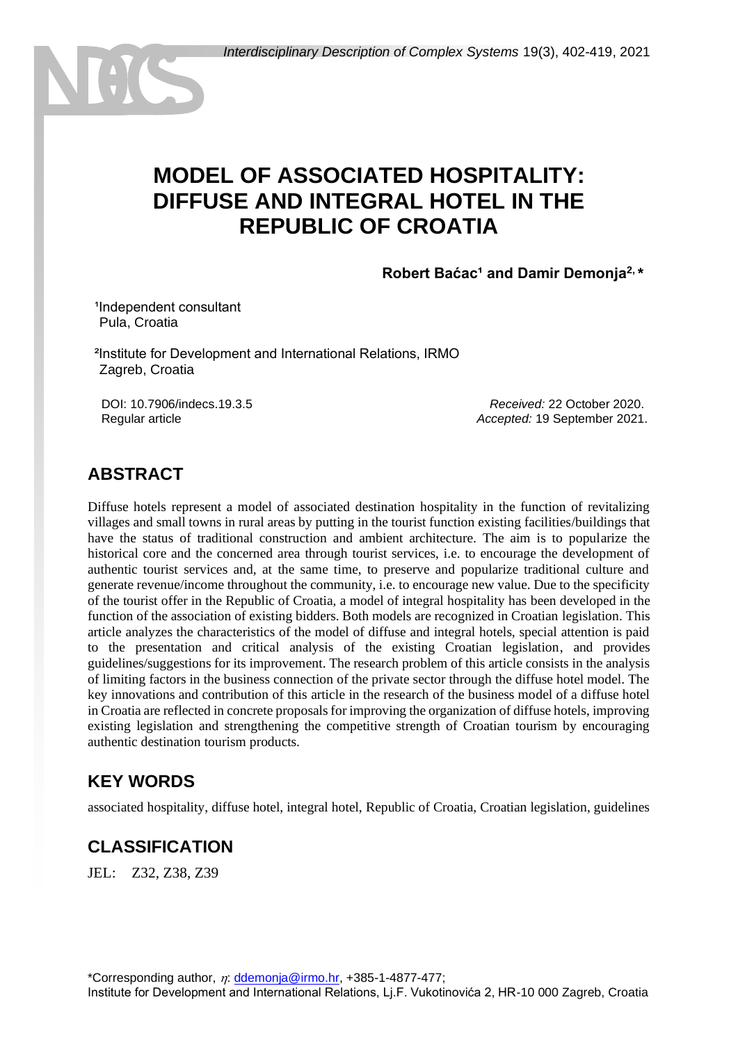# **MODEL OF ASSOCIATED HOSPITALITY: DIFFUSE AND INTEGRAL HOTEL IN THE REPUBLIC OF CROATIA**

Robert Baćac<sup>1</sup> and Damir Demonja<sup>2, \*</sup>

<sup>1</sup>Independent consultant <sup>1</sup>Pula, Croatia

²Institute for Development and International Relations, IRMO <sup>2</sup>Zagreb, Croatia

DOI: 10.7906/indecs.19.3.5 Regular article

*Received:* 22 October 2020. *Accepted:* 19 September 2021.

### **ABSTRACT**

Diffuse hotels represent a model of associated destination hospitality in the function of revitalizing villages and small towns in rural areas by putting in the tourist function existing facilities/buildings that have the status of traditional construction and ambient architecture. The aim is to popularize the historical core and the concerned area through tourist services, i.e. to encourage the development of authentic tourist services and, at the same time, to preserve and popularize traditional culture and generate revenue/income throughout the community, i.e. to encourage new value. Due to the specificity of the tourist offer in the Republic of Croatia, a model of integral hospitality has been developed in the function of the association of existing bidders. Both models are recognized in Croatian legislation. This article analyzes the characteristics of the model of diffuse and integral hotels, special attention is paid to the presentation and critical analysis of the existing Croatian legislation, and provides guidelines/suggestions for its improvement. The research problem of this article consists in the analysis of limiting factors in the business connection of the private sector through the diffuse hotel model. The key innovations and contribution of this article in the research of the business model of a diffuse hotel in Croatia are reflected in concrete proposals for improving the organization of diffuse hotels, improving existing legislation and strengthening the competitive strength of Croatian tourism by encouraging authentic destination tourism products.

# **KEY WORDS**

associated hospitality, diffuse hotel, integral hotel, Republic of Croatia, Croatian legislation, guidelines

# **CLASSIFICATION**

JEL: Z32, Z38, Z39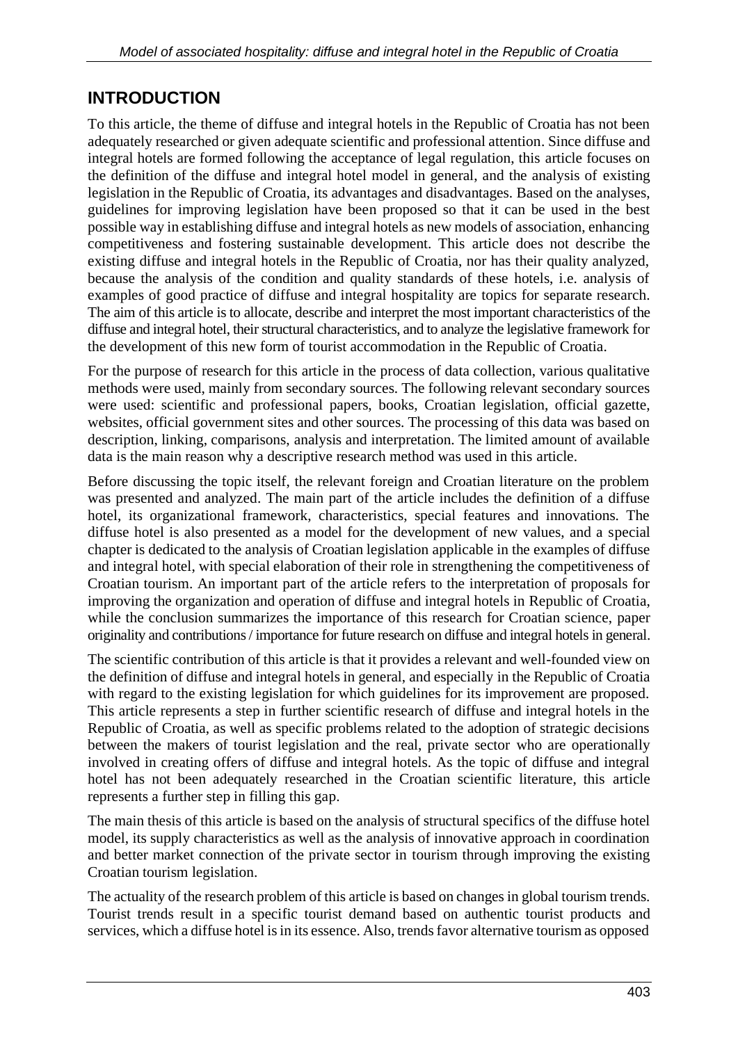## **INTRODUCTION**

To this article, the theme of diffuse and integral hotels in the Republic of Croatia has not been adequately researched or given adequate scientific and professional attention. Since diffuse and integral hotels are formed following the acceptance of legal regulation, this article focuses on the definition of the diffuse and integral hotel model in general, and the analysis of existing legislation in the Republic of Croatia, its advantages and disadvantages. Based on the analyses, guidelines for improving legislation have been proposed so that it can be used in the best possible way in establishing diffuse and integral hotels as new models of association, enhancing competitiveness and fostering sustainable development. This article does not describe the existing diffuse and integral hotels in the Republic of Croatia, nor has their quality analyzed, because the analysis of the condition and quality standards of these hotels, i.e. analysis of examples of good practice of diffuse and integral hospitality are topics for separate research. The aim of this article is to allocate, describe and interpret the most important characteristics of the diffuse and integral hotel, their structural characteristics, and to analyze the legislative framework for the development of this new form of tourist accommodation in the Republic of Croatia.

For the purpose of research for this article in the process of data collection, various qualitative methods were used, mainly from secondary sources. The following relevant secondary sources were used: scientific and professional papers, books, Croatian legislation, official gazette, websites, official government sites and other sources. The processing of this data was based on description, linking, comparisons, analysis and interpretation. The limited amount of available data is the main reason why a descriptive research method was used in this article.

Before discussing the topic itself, the relevant foreign and Croatian literature on the problem was presented and analyzed. The main part of the article includes the definition of a diffuse hotel, its organizational framework, characteristics, special features and innovations. The diffuse hotel is also presented as a model for the development of new values, and a special chapter is dedicated to the analysis of Croatian legislation applicable in the examples of diffuse and integral hotel, with special elaboration of their role in strengthening the competitiveness of Croatian tourism. An important part of the article refers to the interpretation of proposals for improving the organization and operation of diffuse and integral hotels in Republic of Croatia, while the conclusion summarizes the importance of this research for Croatian science, paper originality and contributions / importance for future research on diffuse and integral hotels in general.

The scientific contribution of this article is that it provides a relevant and well-founded view on the definition of diffuse and integral hotels in general, and especially in the Republic of Croatia with regard to the existing legislation for which guidelines for its improvement are proposed. This article represents a step in further scientific research of diffuse and integral hotels in the Republic of Croatia, as well as specific problems related to the adoption of strategic decisions between the makers of tourist legislation and the real, private sector who are operationally involved in creating offers of diffuse and integral hotels. As the topic of diffuse and integral hotel has not been adequately researched in the Croatian scientific literature, this article represents a further step in filling this gap.

The main thesis of this article is based on the analysis of structural specifics of the diffuse hotel model, its supply characteristics as well as the analysis of innovative approach in coordination and better market connection of the private sector in tourism through improving the existing Croatian tourism legislation.

The actuality of the research problem of this article is based on changes in global tourism trends. Tourist trends result in a specific tourist demand based on authentic tourist products and services, which a diffuse hotel is in its essence. Also, trends favor alternative tourism as opposed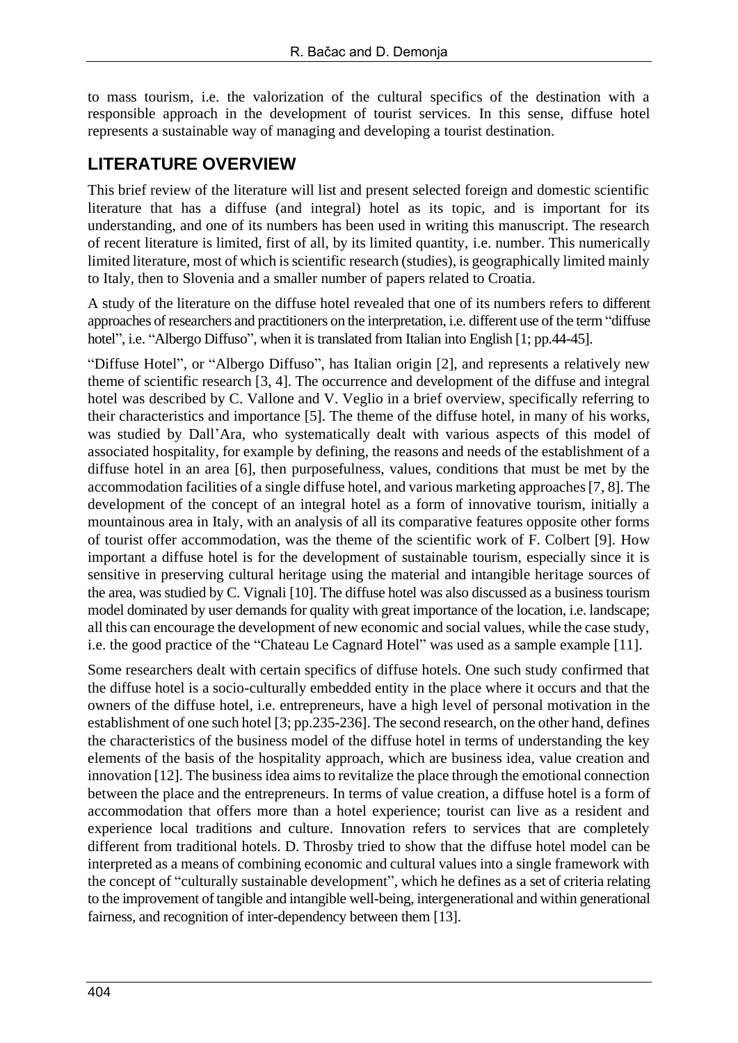to mass tourism, i.e. the valorization of the cultural specifics of the destination with a responsible approach in the development of tourist services. In this sense, diffuse hotel represents a sustainable way of managing and developing a tourist destination.

### **LITERATURE OVERVIEW**

This brief review of the literature will list and present selected foreign and domestic scientific literature that has a diffuse (and integral) hotel as its topic, and is important for its understanding, and one of its numbers has been used in writing this manuscript. The research of recent literature is limited, first of all, by its limited quantity, i.e. number. This numerically limited literature, most of which is scientific research (studies), is geographically limited mainly to Italy, then to Slovenia and a smaller number of papers related to Croatia.

A study of the literature on the diffuse hotel revealed that one of its numbers refers to different approaches of researchers and practitioners on the interpretation, i.e. different use of the term "diffuse hotel", i.e. "Albergo Diffuso", when it is translated from Italian into English [1; pp.44-45].

"Diffuse Hotel", or "Albergo Diffuso", has Italian origin [2], and represents a relatively new theme of scientific research [3, 4]. The occurrence and development of the diffuse and integral hotel was described by C. Vallone and V. Veglio in a brief overview, specifically referring to their characteristics and importance [5]. The theme of the diffuse hotel, in many of his works, was studied by Dall'Ara, who systematically dealt with various aspects of this model of associated hospitality, for example by defining, the reasons and needs of the establishment of a diffuse hotel in an area [6], then purposefulness, values, conditions that must be met by the accommodation facilities of a single diffuse hotel, and various marketing approaches [7, 8]. The development of the concept of an integral hotel as a form of innovative tourism, initially a mountainous area in Italy, with an analysis of all its comparative features opposite other forms of tourist offer accommodation, was the theme of the scientific work of F. Colbert [9]. How important a diffuse hotel is for the development of sustainable tourism, especially since it is sensitive in preserving cultural heritage using the material and intangible heritage sources of the area, was studied by C. Vignali [10]. The diffuse hotel was also discussed as a business tourism model dominated by user demands for quality with great importance of the location, i.e. landscape; all this can encourage the development of new economic and social values, while the case study, i.e. the good practice of the "Chateau Le Cagnard Hotel" was used as a sample example [11].

Some researchers dealt with certain specifics of diffuse hotels. One such study confirmed that the diffuse hotel is a socio-culturally embedded entity in the place where it occurs and that the owners of the diffuse hotel, i.e. entrepreneurs, have a high level of personal motivation in the establishment of one such hotel [3; pp.235-236]. The second research, on the other hand, defines the characteristics of the business model of the diffuse hotel in terms of understanding the key elements of the basis of the hospitality approach, which are business idea, value creation and innovation [12]. The business idea aims to revitalize the place through the emotional connection between the place and the entrepreneurs. In terms of value creation, a diffuse hotel is a form of accommodation that offers more than a hotel experience; tourist can live as a resident and experience local traditions and culture. Innovation refers to services that are completely different from traditional hotels. D. Throsby tried to show that the diffuse hotel model can be interpreted as a means of combining economic and cultural values into a single framework with the concept of "culturally sustainable development", which he defines as a set of criteria relating to the improvement of tangible and intangible well-being, intergenerational and within generational fairness, and recognition of inter-dependency between them [13].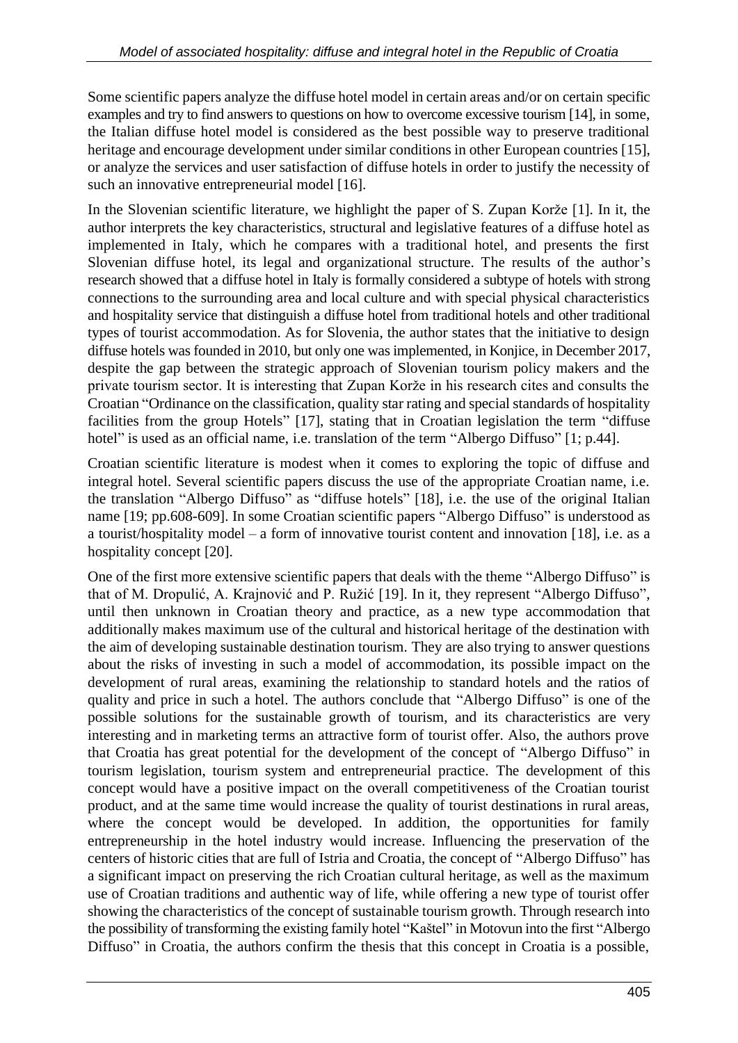Some scientific papers analyze the diffuse hotel model in certain areas and/or on certain specific examples and try to find answers to questions on how to overcome excessive tourism [14], in some, the Italian diffuse hotel model is considered as the best possible way to preserve traditional heritage and encourage development under similar conditions in other European countries [15], or analyze the services and user satisfaction of diffuse hotels in order to justify the necessity of such an innovative entrepreneurial model [16].

In the Slovenian scientific literature, we highlight the paper of S. Zupan Korže [1]. In it, the author interprets the key characteristics, structural and legislative features of a diffuse hotel as implemented in Italy, which he compares with a traditional hotel, and presents the first Slovenian diffuse hotel, its legal and organizational structure. The results of the author's research showed that a diffuse hotel in Italy is formally considered a subtype of hotels with strong connections to the surrounding area and local culture and with special physical characteristics and hospitality service that distinguish a diffuse hotel from traditional hotels and other traditional types of tourist accommodation. As for Slovenia, the author states that the initiative to design diffuse hotels was founded in 2010, but only one was implemented, in Konjice, in December 2017, despite the gap between the strategic approach of Slovenian tourism policy makers and the private tourism sector. It is interesting that Zupan Korže in his research cites and consults the Croatian "Ordinance on the classification, quality star rating and special standards of hospitality facilities from the group Hotels" [17], stating that in Croatian legislation the term "diffuse hotel" is used as an official name, i.e. translation of the term "Albergo Diffuso" [1; p.44].

Croatian scientific literature is modest when it comes to exploring the topic of diffuse and integral hotel. Several scientific papers discuss the use of the appropriate Croatian name, i.e. the translation "Albergo Diffuso" as "diffuse hotels" [18], i.e. the use of the original Italian name [19; pp.608-609]. In some Croatian scientific papers "Albergo Diffuso" is understood as a tourist/hospitality model – a form of innovative tourist content and innovation [18], i.e. as a hospitality concept [20].

One of the first more extensive scientific papers that deals with the theme "Albergo Diffuso" is that of M. Dropulić, A. Krajnović and P. Ružić [19]. In it, they represent "Albergo Diffuso", until then unknown in Croatian theory and practice, as a new type accommodation that additionally makes maximum use of the cultural and historical heritage of the destination with the aim of developing sustainable destination tourism. They are also trying to answer questions about the risks of investing in such a model of accommodation, its possible impact on the development of rural areas, examining the relationship to standard hotels and the ratios of quality and price in such a hotel. The authors conclude that "Albergo Diffuso" is one of the possible solutions for the sustainable growth of tourism, and its characteristics are very interesting and in marketing terms an attractive form of tourist offer. Also, the authors prove that Croatia has great potential for the development of the concept of "Albergo Diffuso" in tourism legislation, tourism system and entrepreneurial practice. The development of this concept would have a positive impact on the overall competitiveness of the Croatian tourist product, and at the same time would increase the quality of tourist destinations in rural areas, where the concept would be developed. In addition, the opportunities for family entrepreneurship in the hotel industry would increase. Influencing the preservation of the centers of historic cities that are full of Istria and Croatia, the concept of "Albergo Diffuso" has a significant impact on preserving the rich Croatian cultural heritage, as well as the maximum use of Croatian traditions and authentic way of life, while offering a new type of tourist offer showing the characteristics of the concept of sustainable tourism growth. Through research into the possibility of transforming the existing family hotel "Kaštel" in Motovun into the first "Albergo Diffuso" in Croatia, the authors confirm the thesis that this concept in Croatia is a possible,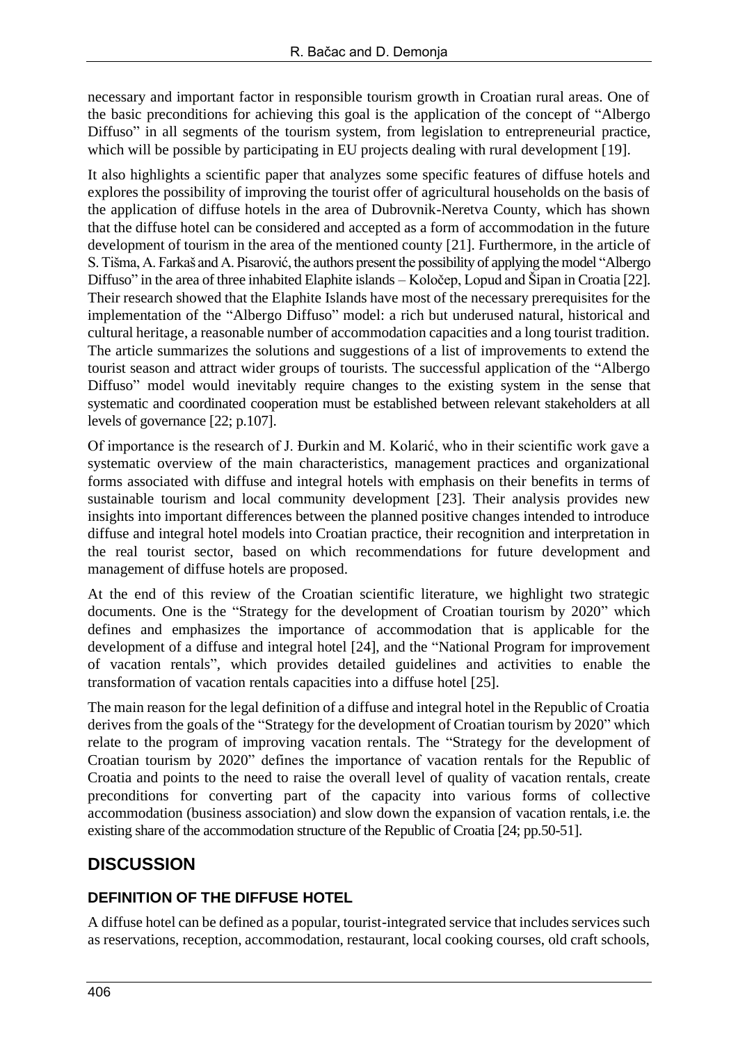necessary and important factor in responsible tourism growth in Croatian rural areas. One of the basic preconditions for achieving this goal is the application of the concept of "Albergo Diffuso" in all segments of the tourism system, from legislation to entrepreneurial practice, which will be possible by participating in EU projects dealing with rural development [19].

It also highlights a scientific paper that analyzes some specific features of diffuse hotels and explores the possibility of improving the tourist offer of agricultural households on the basis of the application of diffuse hotels in the area of Dubrovnik-Neretva County, which has shown that the diffuse hotel can be considered and accepted as a form of accommodation in the future development of tourism in the area of the mentioned county [21]. Furthermore, in the article of S. Tišma, A. Farkaš and A. Pisarović, the authors present the possibility of applying the model "Albergo Diffuso" in the area of three inhabited Elaphite islands – Koločep, Lopud and Šipan in Croatia [22]. Their research showed that the Elaphite Islands have most of the necessary prerequisites for the implementation of the "Albergo Diffuso" model: a rich but underused natural, historical and cultural heritage, a reasonable number of accommodation capacities and a long tourist tradition. The article summarizes the solutions and suggestions of a list of improvements to extend the tourist season and attract wider groups of tourists. The successful application of the "Albergo Diffuso" model would inevitably require changes to the existing system in the sense that systematic and coordinated cooperation must be established between relevant stakeholders at all levels of governance [22; p.107].

Of importance is the research of J. Đurkin and M. Kolarić, who in their scientific work gave a systematic overview of the main characteristics, management practices and organizational forms associated with diffuse and integral hotels with emphasis on their benefits in terms of sustainable tourism and local community development [23]. Their analysis provides new insights into important differences between the planned positive changes intended to introduce diffuse and integral hotel models into Croatian practice, their recognition and interpretation in the real tourist sector, based on which recommendations for future development and management of diffuse hotels are proposed.

At the end of this review of the Croatian scientific literature, we highlight two strategic documents. One is the "Strategy for the development of Croatian tourism by 2020" which defines and emphasizes the importance of accommodation that is applicable for the development of a diffuse and integral hotel [24], and the "National Program for improvement of vacation rentals", which provides detailed guidelines and activities to enable the transformation of vacation rentals capacities into a diffuse hotel [25].

The main reason for the legal definition of a diffuse and integral hotel in the Republic of Croatia derives from the goals of the "Strategy for the development of Croatian tourism by 2020" which relate to the program of improving vacation rentals. The "Strategy for the development of Croatian tourism by 2020" defines the importance of vacation rentals for the Republic of Croatia and points to the need to raise the overall level of quality of vacation rentals, create preconditions for converting part of the capacity into various forms of collective accommodation (business association) and slow down the expansion of vacation rentals, i.e. the existing share of the accommodation structure of the Republic of Croatia [24; pp.50-51].

# **DISCUSSION**

### **DEFINITION OF THE DIFFUSE HOTEL**

A diffuse hotel can be defined as a popular, tourist-integrated service that includes services such as reservations, reception, accommodation, restaurant, local cooking courses, old craft schools,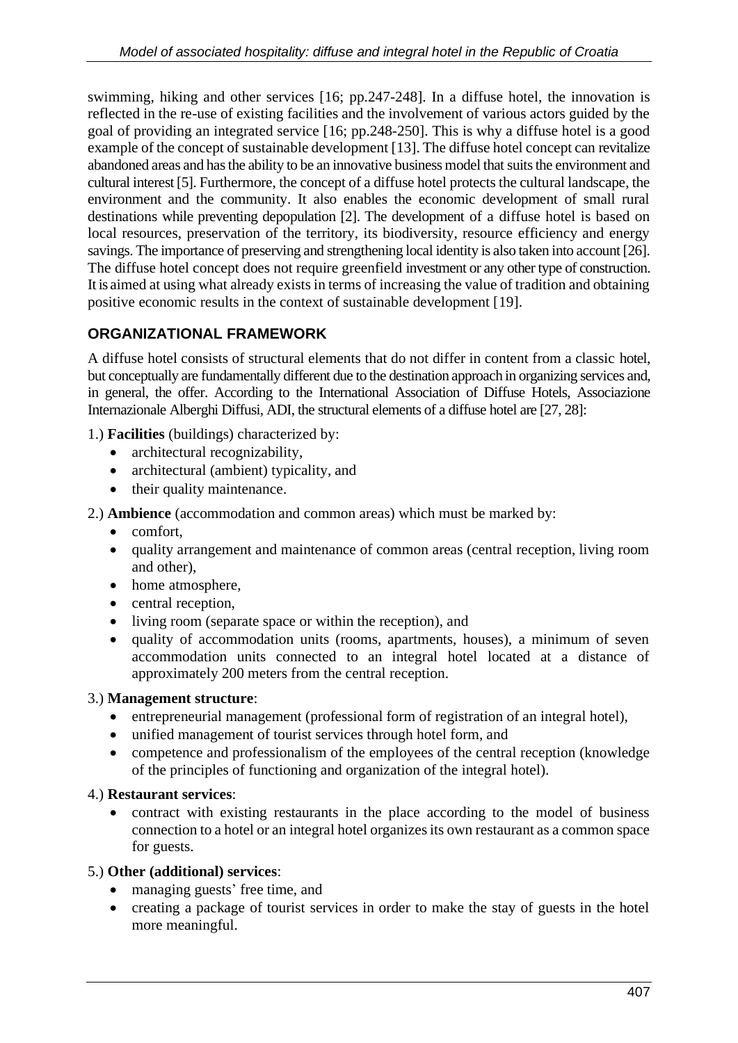swimming, hiking and other services [16; pp.247-248]. In a diffuse hotel, the innovation is reflected in the re-use of existing facilities and the involvement of various actors guided by the goal of providing an integrated service [16; pp.248-250]. This is why a diffuse hotel is a good example of the concept of sustainable development [13]. The diffuse hotel concept can revitalize abandoned areas and has the ability to be an innovative business model that suits the environment and cultural interest [5]. Furthermore, the concept of a diffuse hotel protects the cultural landscape, the environment and the community. It also enables the economic development of small rural destinations while preventing depopulation [2]. The development of a diffuse hotel is based on local resources, preservation of the territory, its biodiversity, resource efficiency and energy savings. The importance of preserving and strengthening local identity is also taken into account [26]. The diffuse hotel concept does not require greenfield investment or any other type of construction. It is aimed at using what already exists in terms of increasing the value of tradition and obtaining positive economic results in the context of sustainable development [19].

### **ORGANIZATIONAL FRAMEWORK**

A diffuse hotel consists of structural elements that do not differ in content from a classic hotel, but conceptually are fundamentally different due to the destination approach in organizing services and, in general, the offer. According to the International Association of Diffuse Hotels, Associazione Internazionale Alberghi Diffusi, ADI, the structural elements of a diffuse hotel are [27, 28]:

1.) **Facilities** (buildings) characterized by:

- architectural recognizability,
- architectural (ambient) typicality, and
- their quality maintenance.

2.) **Ambience** (accommodation and common areas) which must be marked by:

- comfort,
- quality arrangement and maintenance of common areas (central reception, living room and other),
- home atmosphere,
- central reception,
- living room (separate space or within the reception), and
- quality of accommodation units (rooms, apartments, houses), a minimum of seven accommodation units connected to an integral hotel located at a distance of approximately 200 meters from the central reception.

#### 3.) **Management structure**:

- entrepreneurial management (professional form of registration of an integral hotel),
- unified management of tourist services through hotel form, and
- competence and professionalism of the employees of the central reception (knowledge) of the principles of functioning and organization of the integral hotel).

#### 4.) **Restaurant services**:

• contract with existing restaurants in the place according to the model of business connection to a hotel or an integral hotel organizes its own restaurant as a common space for guests.

#### 5.) **Other (additional) services**:

- managing guests' free time, and
- creating a package of tourist services in order to make the stay of guests in the hotel more meaningful.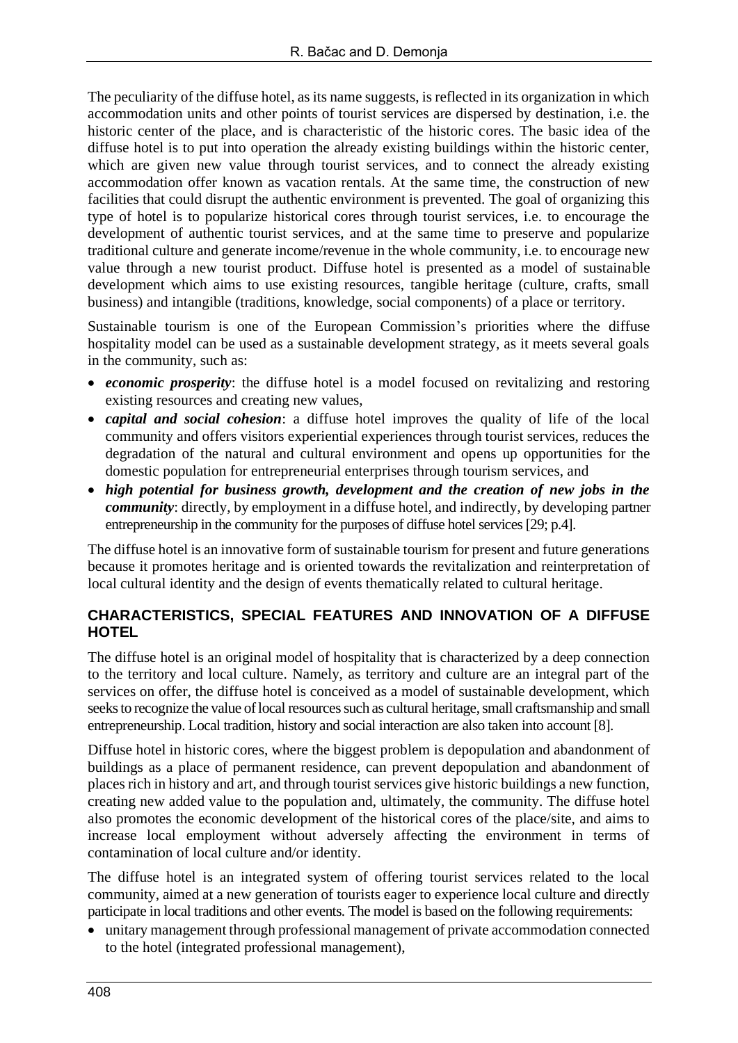The peculiarity of the diffuse hotel, as its name suggests, is reflected in its organization in which accommodation units and other points of tourist services are dispersed by destination, i.e. the historic center of the place, and is characteristic of the historic cores. The basic idea of the diffuse hotel is to put into operation the already existing buildings within the historic center, which are given new value through tourist services, and to connect the already existing accommodation offer known as vacation rentals. At the same time, the construction of new facilities that could disrupt the authentic environment is prevented. The goal of organizing this type of hotel is to popularize historical cores through tourist services, i.e. to encourage the development of authentic tourist services, and at the same time to preserve and popularize traditional culture and generate income/revenue in the whole community, i.e. to encourage new value through a new tourist product. Diffuse hotel is presented as a model of sustainable development which aims to use existing resources, tangible heritage (culture, crafts, small business) and intangible (traditions, knowledge, social components) of a place or territory.

Sustainable tourism is one of the European Commission's priorities where the diffuse hospitality model can be used as a sustainable development strategy, as it meets several goals in the community, such as:

- *economic prosperity*: the diffuse hotel is a model focused on revitalizing and restoring existing resources and creating new values,
- *capital and social cohesion*: a diffuse hotel improves the quality of life of the local community and offers visitors experiential experiences through tourist services, reduces the degradation of the natural and cultural environment and opens up opportunities for the domestic population for entrepreneurial enterprises through tourism services, and
- *high potential for business growth, development and the creation of new jobs in the community*: directly, by employment in a diffuse hotel, and indirectly, by developing partner entrepreneurship in the community for the purposes of diffuse hotel services [29; p.4].

The diffuse hotel is an innovative form of sustainable tourism for present and future generations because it promotes heritage and is oriented towards the revitalization and reinterpretation of local cultural identity and the design of events thematically related to cultural heritage.

#### **CHARACTERISTICS, SPECIAL FEATURES AND INNOVATION OF A DIFFUSE HOTEL**

The diffuse hotel is an original model of hospitality that is characterized by a deep connection to the territory and local culture. Namely, as territory and culture are an integral part of the services on offer, the diffuse hotel is conceived as a model of sustainable development, which seeks to recognize the value of local resources such as cultural heritage, small craftsmanship and small entrepreneurship. Local tradition, history and social interaction are also taken into account [8].

Diffuse hotel in historic cores, where the biggest problem is depopulation and abandonment of buildings as a place of permanent residence, can prevent depopulation and abandonment of places rich in history and art, and through tourist services give historic buildings a new function, creating new added value to the population and, ultimately, the community. The diffuse hotel also promotes the economic development of the historical cores of the place/site, and aims to increase local employment without adversely affecting the environment in terms of contamination of local culture and/or identity.

The diffuse hotel is an integrated system of offering tourist services related to the local community, aimed at a new generation of tourists eager to experience local culture and directly participate in local traditions and other events. The model is based on the following requirements:

• unitary management through professional management of private accommodation connected to the hotel (integrated professional management),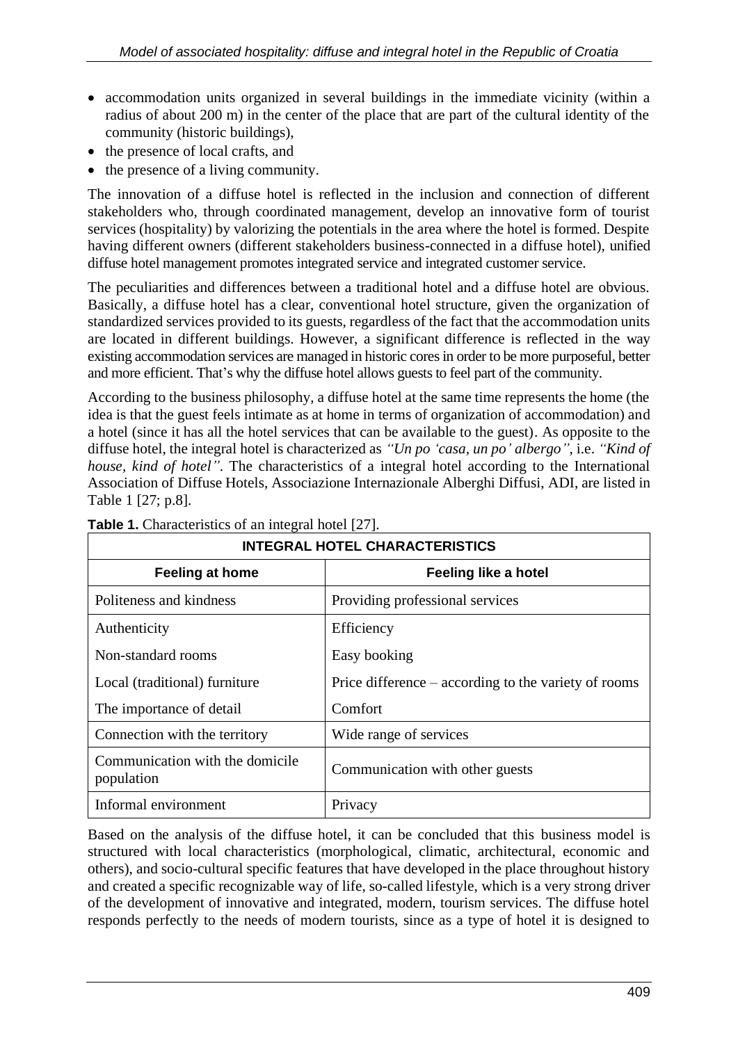- accommodation units organized in several buildings in the immediate vicinity (within a radius of about 200 m) in the center of the place that are part of the cultural identity of the community (historic buildings),
- the presence of local crafts, and
- the presence of a living community.

The innovation of a diffuse hotel is reflected in the inclusion and connection of different stakeholders who, through coordinated management, develop an innovative form of tourist services (hospitality) by valorizing the potentials in the area where the hotel is formed. Despite having different owners (different stakeholders business-connected in a diffuse hotel), unified diffuse hotel management promotes integrated service and integrated customer service.

The peculiarities and differences between a traditional hotel and a diffuse hotel are obvious. Basically, a diffuse hotel has a clear, conventional hotel structure, given the organization of standardized services provided to its guests, regardless of the fact that the accommodation units are located in different buildings. However, a significant difference is reflected in the way existing accommodation services are managed in historic cores in order to be more purposeful, better and more efficient. That's why the diffuse hotel allows guests to feel part of the community.

According to the business philosophy, a diffuse hotel at the same time represents the home (the idea is that the guest feels intimate as at home in terms of organization of accommodation) and a hotel (since it has all the hotel services that can be available to the guest). As opposite to the diffuse hotel, the integral hotel is characterized as *"Un po 'casa, un po' albergo"*, i.e. *"Kind of house, kind of hotel"*. The characteristics of a integral hotel according to the International Association of Diffuse Hotels, Associazione Internazionale Alberghi Diffusi, ADI, are listed in Table 1 [27; p.8].

| <b>Feeling at home</b>                        | Feeling like a hotel                                   |
|-----------------------------------------------|--------------------------------------------------------|
| Politeness and kindness                       | Providing professional services                        |
| Authenticity                                  | Efficiency                                             |
| Non-standard rooms                            | Easy booking                                           |
| Local (traditional) furniture                 | Price difference $-$ according to the variety of rooms |
| The importance of detail                      | Comfort                                                |
| Connection with the territory                 | Wide range of services                                 |
| Communication with the domicile<br>population | Communication with other guests                        |
| Informal environment                          | Privacy                                                |

### **Table 1.** Characteristics of an integral hotel [27].

### **INTEGRAL HOTEL CHARACTERISTICS**

Based on the analysis of the diffuse hotel, it can be concluded that this business model is structured with local characteristics (morphological, climatic, architectural, economic and others), and socio-cultural specific features that have developed in the place throughout history and created a specific recognizable way of life, so-called lifestyle, which is a very strong driver of the development of innovative and integrated, modern, tourism services. The diffuse hotel responds perfectly to the needs of modern tourists, since as a type of hotel it is designed to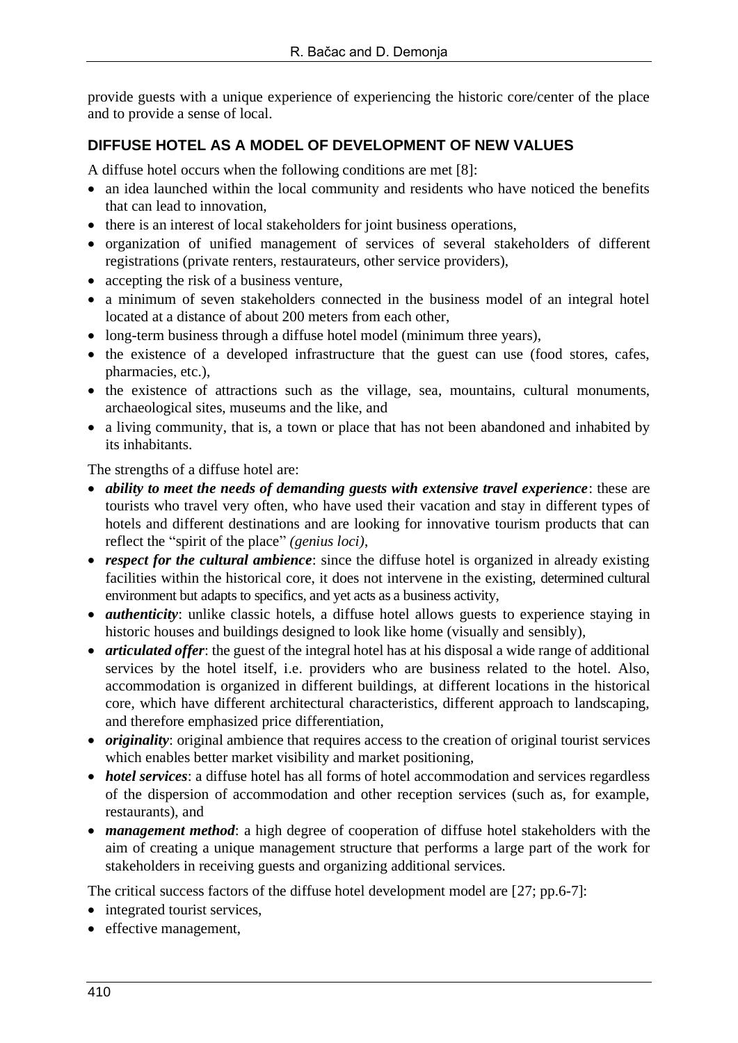provide guests with a unique experience of experiencing the historic core/center of the place and to provide a sense of local.

#### **DIFFUSE HOTEL AS A MODEL OF DEVELOPMENT OF NEW VALUES**

A diffuse hotel occurs when the following conditions are met [8]:

- an idea launched within the local community and residents who have noticed the benefits that can lead to innovation,
- there is an interest of local stakeholders for joint business operations,
- organization of unified management of services of several stakeholders of different registrations (private renters, restaurateurs, other service providers),
- accepting the risk of a business venture,
- a minimum of seven stakeholders connected in the business model of an integral hotel located at a distance of about 200 meters from each other,
- long-term business through a diffuse hotel model (minimum three years),
- the existence of a developed infrastructure that the guest can use (food stores, cafes, pharmacies, etc.),
- the existence of attractions such as the village, sea, mountains, cultural monuments, archaeological sites, museums and the like, and
- a living community, that is, a town or place that has not been abandoned and inhabited by its inhabitants.

The strengths of a diffuse hotel are:

- *ability to meet the needs of demanding guests with extensive travel experience*: these are tourists who travel very often, who have used their vacation and stay in different types of hotels and different destinations and are looking for innovative tourism products that can reflect the "spirit of the place" *(genius loci)*,
- *respect for the cultural ambience*: since the diffuse hotel is organized in already existing facilities within the historical core, it does not intervene in the existing, determined cultural environment but adapts to specifics, and yet acts as a business activity,
- *authenticity*: unlike classic hotels, a diffuse hotel allows guests to experience staying in historic houses and buildings designed to look like home (visually and sensibly),
- *articulated offer*: the guest of the integral hotel has at his disposal a wide range of additional services by the hotel itself, i.e. providers who are business related to the hotel. Also, accommodation is organized in different buildings, at different locations in the historical core, which have different architectural characteristics, different approach to landscaping, and therefore emphasized price differentiation,
- *originality*: original ambience that requires access to the creation of original tourist services which enables better market visibility and market positioning,
- *hotel services*: a diffuse hotel has all forms of hotel accommodation and services regardless of the dispersion of accommodation and other reception services (such as, for example, restaurants), and
- *management method*: a high degree of cooperation of diffuse hotel stakeholders with the aim of creating a unique management structure that performs a large part of the work for stakeholders in receiving guests and organizing additional services.

The critical success factors of the diffuse hotel development model are [27; pp.6-7]:

- integrated tourist services,
- effective management,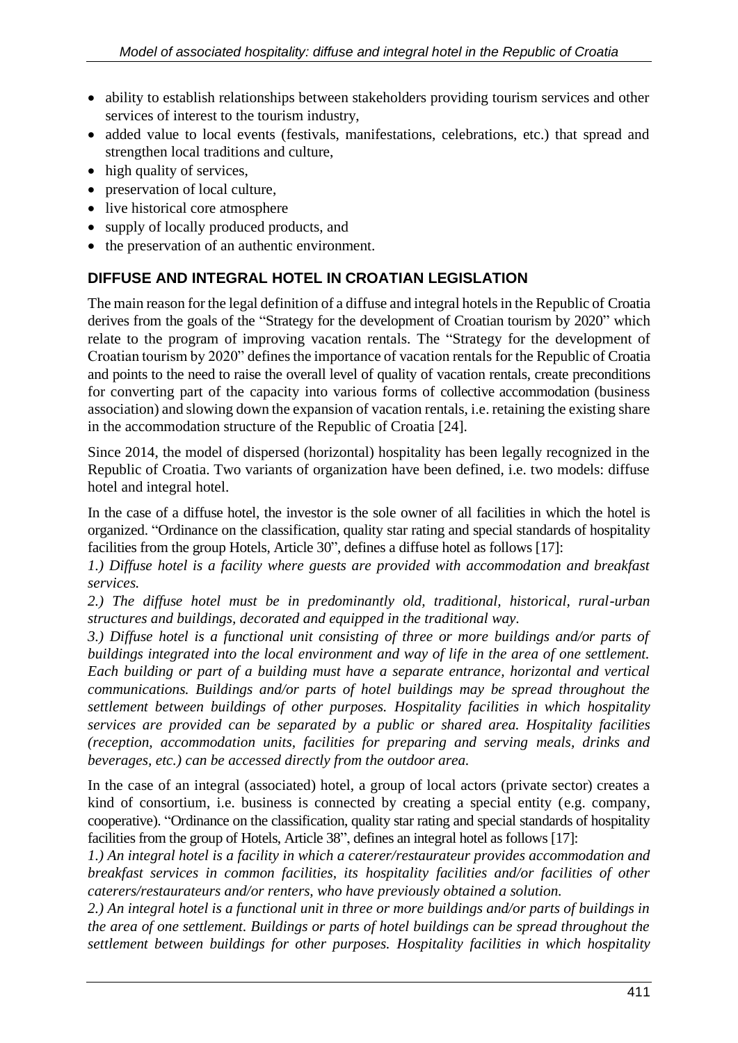- ability to establish relationships between stakeholders providing tourism services and other services of interest to the tourism industry,
- added value to local events (festivals, manifestations, celebrations, etc.) that spread and strengthen local traditions and culture,
- high quality of services,
- preservation of local culture,
- live historical core atmosphere
- supply of locally produced products, and
- the preservation of an authentic environment.

### **DIFFUSE AND INTEGRAL HOTEL IN CROATIAN LEGISLATION**

The main reason for the legal definition of a diffuse and integral hotels in the Republic of Croatia derives from the goals of the "Strategy for the development of Croatian tourism by 2020" which relate to the program of improving vacation rentals. The "Strategy for the development of Croatian tourism by 2020" defines the importance of vacation rentals for the Republic of Croatia and points to the need to raise the overall level of quality of vacation rentals, create preconditions for converting part of the capacity into various forms of collective accommodation (business association) and slowing down the expansion of vacation rentals, i.e. retaining the existing share in the accommodation structure of the Republic of Croatia [24].

Since 2014, the model of dispersed (horizontal) hospitality has been legally recognized in the Republic of Croatia. Two variants of organization have been defined, i.e. two models: diffuse hotel and integral hotel.

In the case of a diffuse hotel, the investor is the sole owner of all facilities in which the hotel is organized. "Ordinance on the classification, quality star rating and special standards of hospitality facilities from the group Hotels, Article 30", defines a diffuse hotel as follows [17]:

*1.) Diffuse hotel is a facility where guests are provided with accommodation and breakfast services.*

*2.) The diffuse hotel must be in predominantly old, traditional, historical, rural-urban structures and buildings, decorated and equipped in the traditional way.*

*3.) Diffuse hotel is a functional unit consisting of three or more buildings and/or parts of buildings integrated into the local environment and way of life in the area of one settlement. Each building or part of a building must have a separate entrance, horizontal and vertical communications. Buildings and/or parts of hotel buildings may be spread throughout the settlement between buildings of other purposes. Hospitality facilities in which hospitality services are provided can be separated by a public or shared area. Hospitality facilities (reception, accommodation units, facilities for preparing and serving meals, drinks and beverages, etc.) can be accessed directly from the outdoor area.*

In the case of an integral (associated) hotel, a group of local actors (private sector) creates a kind of consortium, i.e. business is connected by creating a special entity (e.g. company, cooperative). "Ordinance on the classification, quality star rating and special standards of hospitality facilities from the group of Hotels, Article 38", defines an integral hotel as follows [17]:

*1.) An integral hotel is a facility in which a caterer/restaurateur provides accommodation and breakfast services in common facilities, its hospitality facilities and/or facilities of other caterers/restaurateurs and/or renters, who have previously obtained a solution.*

*2.) An integral hotel is a functional unit in three or more buildings and/or parts of buildings in the area of one settlement. Buildings or parts of hotel buildings can be spread throughout the settlement between buildings for other purposes. Hospitality facilities in which hospitality*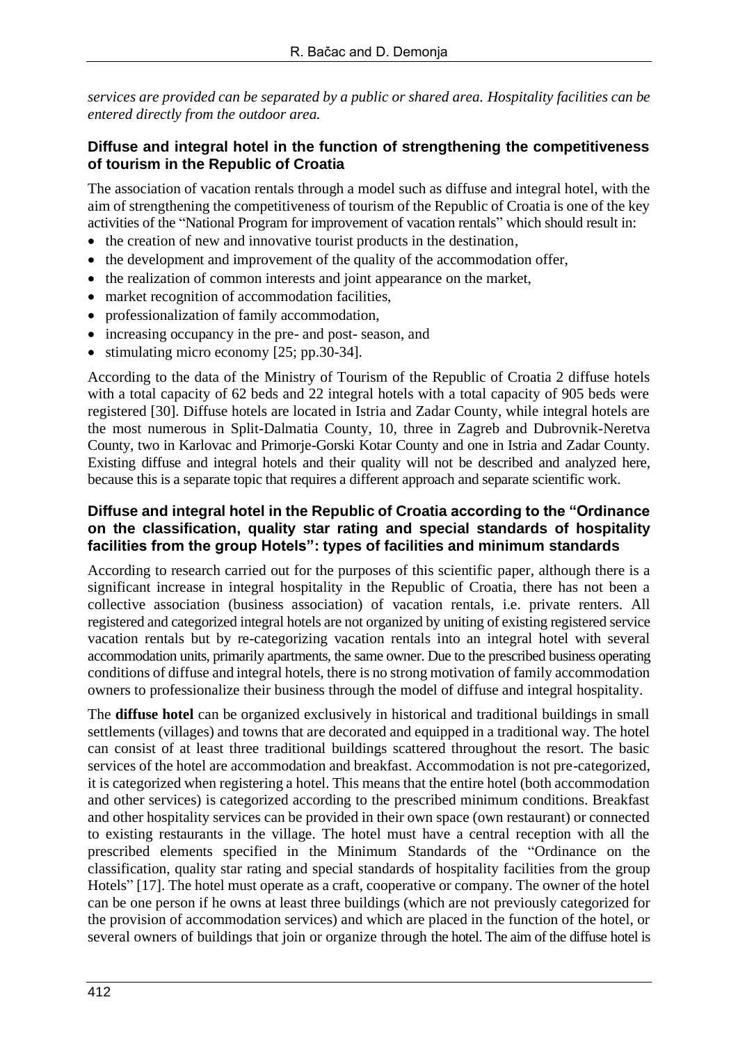*services are provided can be separated by a public or shared area. Hospitality facilities can be entered directly from the outdoor area.*

#### **Diffuse and integral hotel in the function of strengthening the competitiveness of tourism in the Republic of Croatia**

The association of vacation rentals through a model such as diffuse and integral hotel, with the aim of strengthening the competitiveness of tourism of the Republic of Croatia is one of the key activities of the "National Program for improvement of vacation rentals" which should result in:

- the creation of new and innovative tourist products in the destination,
- the development and improvement of the quality of the accommodation offer,
- the realization of common interests and joint appearance on the market,
- market recognition of accommodation facilities,
- professionalization of family accommodation,
- increasing occupancy in the pre- and post- season, and
- stimulating micro economy [25; pp.30-34].

According to the data of the Ministry of Tourism of the Republic of Croatia 2 diffuse hotels with a total capacity of 62 beds and 22 integral hotels with a total capacity of 905 beds were registered [30]. Diffuse hotels are located in Istria and Zadar County, while integral hotels are the most numerous in Split-Dalmatia County, 10, three in Zagreb and Dubrovnik-Neretva County, two in Karlovac and Primorje-Gorski Kotar County and one in Istria and Zadar County. Existing diffuse and integral hotels and their quality will not be described and analyzed here, because this is a separate topic that requires a different approach and separate scientific work.

#### **Diffuse and integral hotel in the Republic of Croatia according to the "Ordinance on the classification, quality star rating and special standards of hospitality facilities from the group Hotels": types of facilities and minimum standards**

According to research carried out for the purposes of this scientific paper, although there is a significant increase in integral hospitality in the Republic of Croatia, there has not been a collective association (business association) of vacation rentals, i.e. private renters. All registered and categorized integral hotels are not organized by uniting of existing registered service vacation rentals but by re-categorizing vacation rentals into an integral hotel with several accommodation units, primarily apartments, the same owner. Due to the prescribed business operating conditions of diffuse and integral hotels, there is no strong motivation of family accommodation owners to professionalize their business through the model of diffuse and integral hospitality.

The **diffuse hotel** can be organized exclusively in historical and traditional buildings in small settlements (villages) and towns that are decorated and equipped in a traditional way. The hotel can consist of at least three traditional buildings scattered throughout the resort. The basic services of the hotel are accommodation and breakfast. Accommodation is not pre-categorized, it is categorized when registering a hotel. This means that the entire hotel (both accommodation and other services) is categorized according to the prescribed minimum conditions. Breakfast and other hospitality services can be provided in their own space (own restaurant) or connected to existing restaurants in the village. The hotel must have a central reception with all the prescribed elements specified in the Minimum Standards of the "Ordinance on the classification, quality star rating and special standards of hospitality facilities from the group Hotels" [17]. The hotel must operate as a craft, cooperative or company. The owner of the hotel can be one person if he owns at least three buildings (which are not previously categorized for the provision of accommodation services) and which are placed in the function of the hotel, or several owners of buildings that join or organize through the hotel. The aim of the diffuse hotel is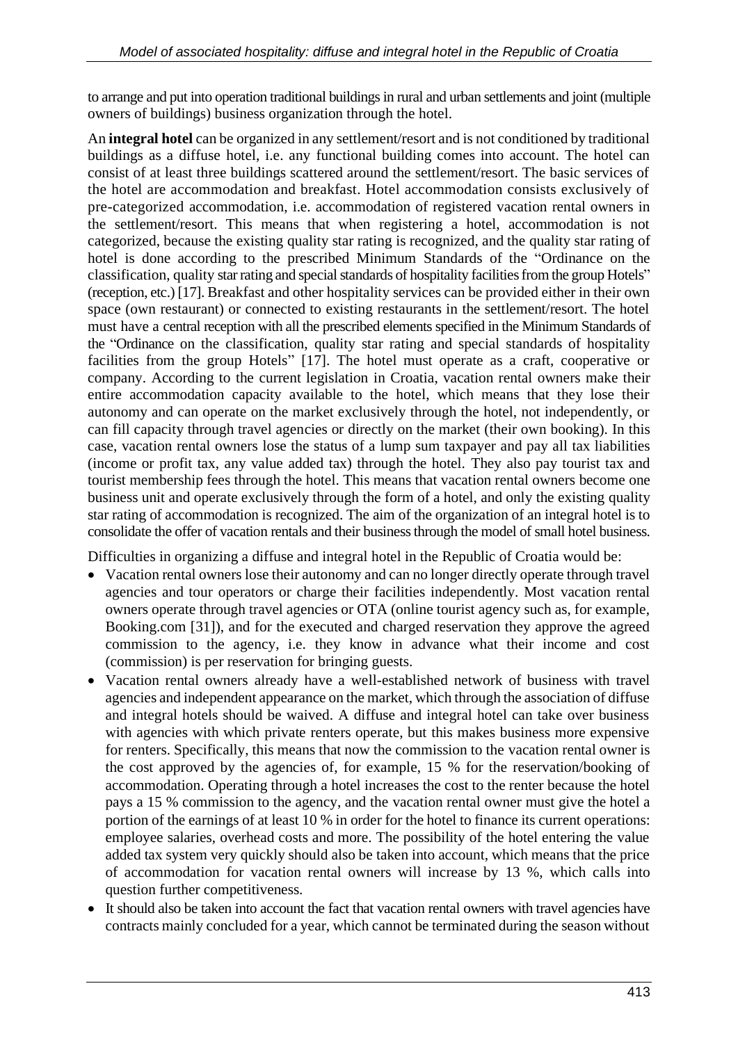to arrange and put into operation traditional buildings in rural and urban settlements and joint (multiple owners of buildings) business organization through the hotel.

An **integral hotel** can be organized in any settlement/resort and is not conditioned by traditional buildings as a diffuse hotel, i.e. any functional building comes into account. The hotel can consist of at least three buildings scattered around the settlement/resort. The basic services of the hotel are accommodation and breakfast. Hotel accommodation consists exclusively of pre-categorized accommodation, i.e. accommodation of registered vacation rental owners in the settlement/resort. This means that when registering a hotel, accommodation is not categorized, because the existing quality star rating is recognized, and the quality star rating of hotel is done according to the prescribed Minimum Standards of the "Ordinance on the classification, quality star rating and special standards of hospitality facilities from the group Hotels" (reception, etc.) [17]. Breakfast and other hospitality services can be provided either in their own space (own restaurant) or connected to existing restaurants in the settlement/resort. The hotel must have a central reception with all the prescribed elements specified in the Minimum Standards of the "Ordinance on the classification, quality star rating and special standards of hospitality facilities from the group Hotels" [17]. The hotel must operate as a craft, cooperative or company. According to the current legislation in Croatia, vacation rental owners make their entire accommodation capacity available to the hotel, which means that they lose their autonomy and can operate on the market exclusively through the hotel, not independently, or can fill capacity through travel agencies or directly on the market (their own booking). In this case, vacation rental owners lose the status of a lump sum taxpayer and pay all tax liabilities (income or profit tax, any value added tax) through the hotel. They also pay tourist tax and tourist membership fees through the hotel. This means that vacation rental owners become one business unit and operate exclusively through the form of a hotel, and only the existing quality star rating of accommodation is recognized. The aim of the organization of an integral hotel is to consolidate the offer of vacation rentals and their business through the model of small hotel business.

Difficulties in organizing a diffuse and integral hotel in the Republic of Croatia would be:

- Vacation rental owners lose their autonomy and can no longer directly operate through travel agencies and tour operators or charge their facilities independently. Most vacation rental owners operate through travel agencies or OTA (online tourist agency such as, for example, Booking.com [31]), and for the executed and charged reservation they approve the agreed commission to the agency, i.e. they know in advance what their income and cost (commission) is per reservation for bringing guests.
- Vacation rental owners already have a well-established network of business with travel agencies and independent appearance on the market, which through the association of diffuse and integral hotels should be waived. A diffuse and integral hotel can take over business with agencies with which private renters operate, but this makes business more expensive for renters. Specifically, this means that now the commission to the vacation rental owner is the cost approved by the agencies of, for example, 15 % for the reservation/booking of accommodation. Operating through a hotel increases the cost to the renter because the hotel pays a 15 % commission to the agency, and the vacation rental owner must give the hotel a portion of the earnings of at least 10 % in order for the hotel to finance its current operations: employee salaries, overhead costs and more. The possibility of the hotel entering the value added tax system very quickly should also be taken into account, which means that the price of accommodation for vacation rental owners will increase by 13 %, which calls into question further competitiveness.
- It should also be taken into account the fact that vacation rental owners with travel agencies have contracts mainly concluded for a year, which cannot be terminated during the season without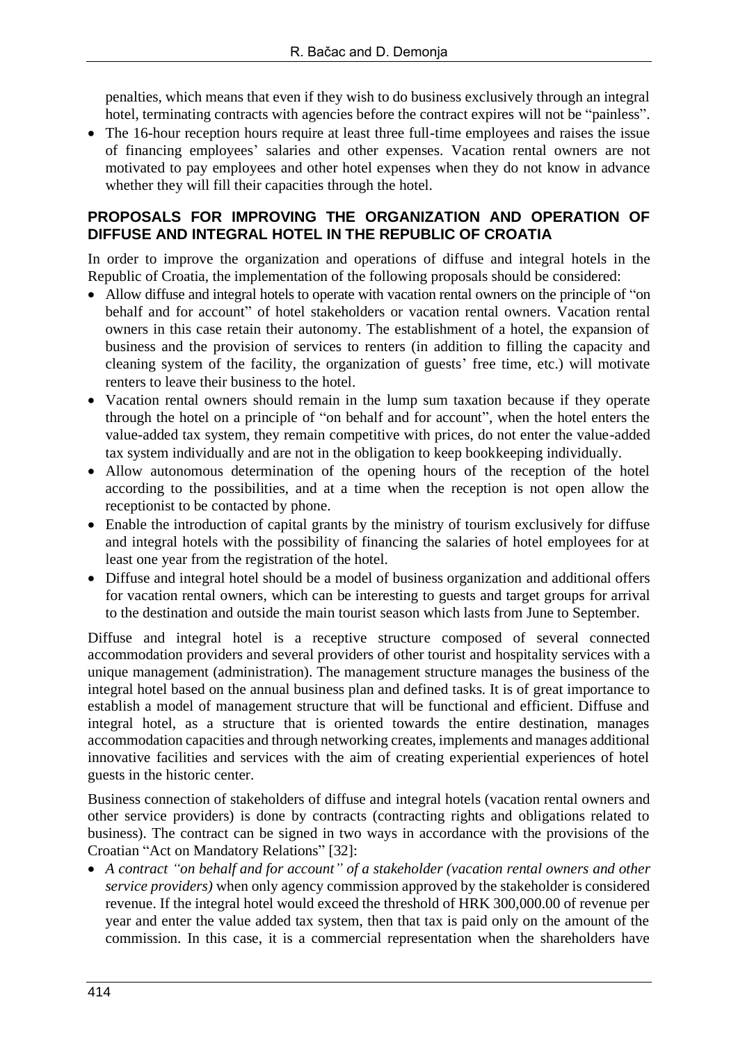penalties, which means that even if they wish to do business exclusively through an integral hotel, terminating contracts with agencies before the contract expires will not be "painless".

• The 16-hour reception hours require at least three full-time employees and raises the issue of financing employees' salaries and other expenses. Vacation rental owners are not motivated to pay employees and other hotel expenses when they do not know in advance whether they will fill their capacities through the hotel.

#### **PROPOSALS FOR IMPROVING THE ORGANIZATION AND OPERATION OF DIFFUSE AND INTEGRAL HOTEL IN THE REPUBLIC OF CROATIA**

In order to improve the organization and operations of diffuse and integral hotels in the Republic of Croatia, the implementation of the following proposals should be considered:

- Allow diffuse and integral hotels to operate with vacation rental owners on the principle of "on" behalf and for account" of hotel stakeholders or vacation rental owners. Vacation rental owners in this case retain their autonomy. The establishment of a hotel, the expansion of business and the provision of services to renters (in addition to filling the capacity and cleaning system of the facility, the organization of guests' free time, etc.) will motivate renters to leave their business to the hotel.
- Vacation rental owners should remain in the lump sum taxation because if they operate through the hotel on a principle of "on behalf and for account", when the hotel enters the value-added tax system, they remain competitive with prices, do not enter the value-added tax system individually and are not in the obligation to keep bookkeeping individually.
- Allow autonomous determination of the opening hours of the reception of the hotel according to the possibilities, and at a time when the reception is not open allow the receptionist to be contacted by phone.
- Enable the introduction of capital grants by the ministry of tourism exclusively for diffuse and integral hotels with the possibility of financing the salaries of hotel employees for at least one year from the registration of the hotel.
- Diffuse and integral hotel should be a model of business organization and additional offers for vacation rental owners, which can be interesting to guests and target groups for arrival to the destination and outside the main tourist season which lasts from June to September.

Diffuse and integral hotel is a receptive structure composed of several connected accommodation providers and several providers of other tourist and hospitality services with a unique management (administration). The management structure manages the business of the integral hotel based on the annual business plan and defined tasks. It is of great importance to establish a model of management structure that will be functional and efficient. Diffuse and integral hotel, as a structure that is oriented towards the entire destination, manages accommodation capacities and through networking creates, implements and manages additional innovative facilities and services with the aim of creating experiential experiences of hotel guests in the historic center.

Business connection of stakeholders of diffuse and integral hotels (vacation rental owners and other service providers) is done by contracts (contracting rights and obligations related to business). The contract can be signed in two ways in accordance with the provisions of the Croatian "Act on Mandatory Relations" [32]:

• *A contract "on behalf and for account" of a stakeholder (vacation rental owners and other service providers)* when only agency commission approved by the stakeholder is considered revenue. If the integral hotel would exceed the threshold of HRK 300,000.00 of revenue per year and enter the value added tax system, then that tax is paid only on the amount of the commission. In this case, it is a commercial representation when the shareholders have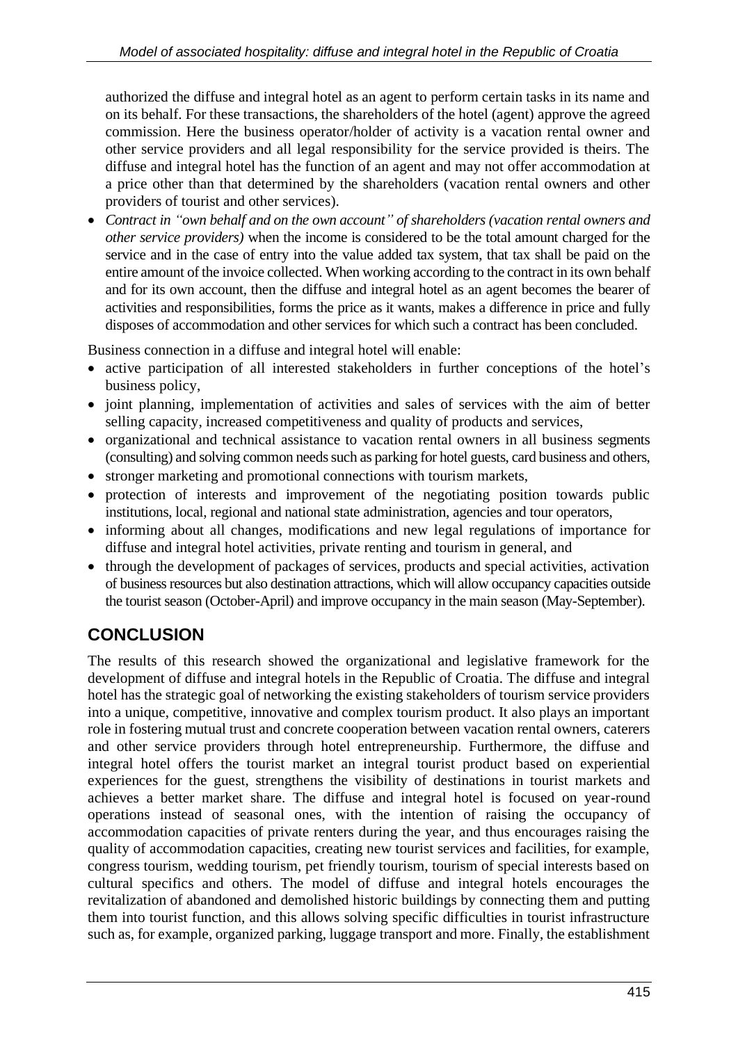authorized the diffuse and integral hotel as an agent to perform certain tasks in its name and on its behalf. For these transactions, the shareholders of the hotel (agent) approve the agreed commission. Here the business operator/holder of activity is a vacation rental owner and other service providers and all legal responsibility for the service provided is theirs. The diffuse and integral hotel has the function of an agent and may not offer accommodation at a price other than that determined by the shareholders (vacation rental owners and other providers of tourist and other services).

• *Contract in "own behalf and on the own account" of shareholders (vacation rental owners and other service providers)* when the income is considered to be the total amount charged for the service and in the case of entry into the value added tax system, that tax shall be paid on the entire amount of the invoice collected. When working according to the contract in its own behalf and for its own account, then the diffuse and integral hotel as an agent becomes the bearer of activities and responsibilities, forms the price as it wants, makes a difference in price and fully disposes of accommodation and other services for which such a contract has been concluded.

Business connection in a diffuse and integral hotel will enable:

- active participation of all interested stakeholders in further conceptions of the hotel's business policy,
- joint planning, implementation of activities and sales of services with the aim of better selling capacity, increased competitiveness and quality of products and services,
- organizational and technical assistance to vacation rental owners in all business segments (consulting) and solving common needs such as parking for hotel guests, card business and others,
- stronger marketing and promotional connections with tourism markets,
- protection of interests and improvement of the negotiating position towards public institutions, local, regional and national state administration, agencies and tour operators,
- informing about all changes, modifications and new legal regulations of importance for diffuse and integral hotel activities, private renting and tourism in general, and
- through the development of packages of services, products and special activities, activation of business resources but also destination attractions, which will allow occupancy capacities outside the tourist season (October-April) and improve occupancy in the main season (May-September).

# **CONCLUSION**

The results of this research showed the organizational and legislative framework for the development of diffuse and integral hotels in the Republic of Croatia. The diffuse and integral hotel has the strategic goal of networking the existing stakeholders of tourism service providers into a unique, competitive, innovative and complex tourism product. It also plays an important role in fostering mutual trust and concrete cooperation between vacation rental owners, caterers and other service providers through hotel entrepreneurship. Furthermore, the diffuse and integral hotel offers the tourist market an integral tourist product based on experiential experiences for the guest, strengthens the visibility of destinations in tourist markets and achieves a better market share. The diffuse and integral hotel is focused on year-round operations instead of seasonal ones, with the intention of raising the occupancy of accommodation capacities of private renters during the year, and thus encourages raising the quality of accommodation capacities, creating new tourist services and facilities, for example, congress tourism, wedding tourism, pet friendly tourism, tourism of special interests based on cultural specifics and others. The model of diffuse and integral hotels encourages the revitalization of abandoned and demolished historic buildings by connecting them and putting them into tourist function, and this allows solving specific difficulties in tourist infrastructure such as, for example, organized parking, luggage transport and more. Finally, the establishment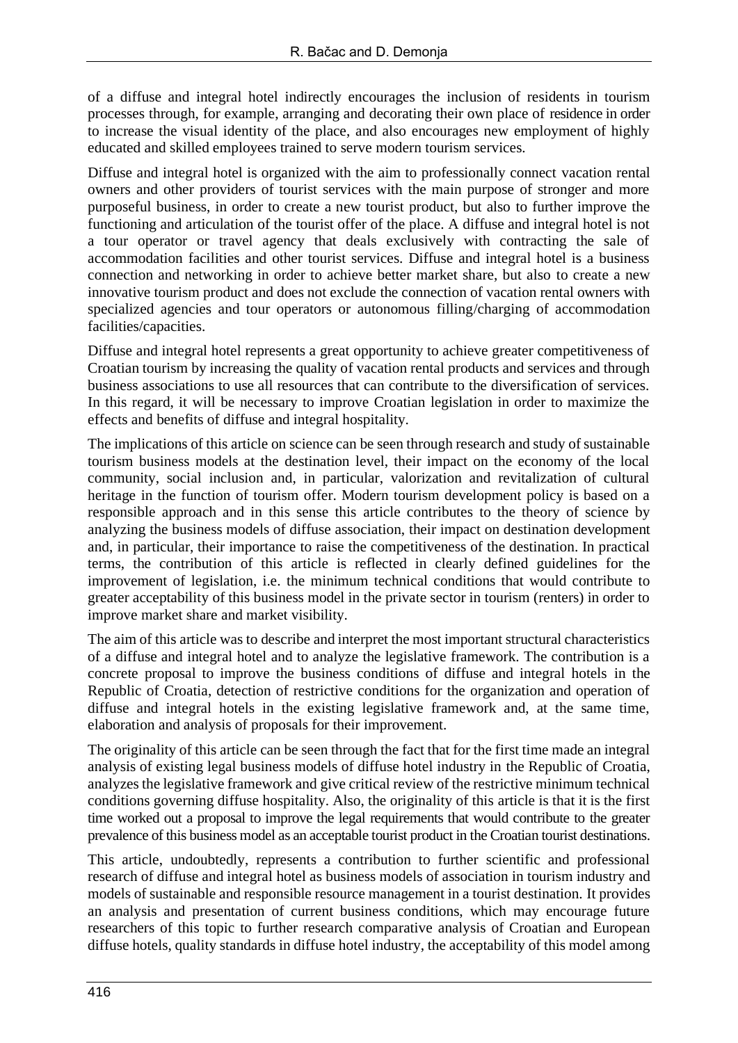of a diffuse and integral hotel indirectly encourages the inclusion of residents in tourism processes through, for example, arranging and decorating their own place of residence in order to increase the visual identity of the place, and also encourages new employment of highly educated and skilled employees trained to serve modern tourism services.

Diffuse and integral hotel is organized with the aim to professionally connect vacation rental owners and other providers of tourist services with the main purpose of stronger and more purposeful business, in order to create a new tourist product, but also to further improve the functioning and articulation of the tourist offer of the place. A diffuse and integral hotel is not a tour operator or travel agency that deals exclusively with contracting the sale of accommodation facilities and other tourist services. Diffuse and integral hotel is a business connection and networking in order to achieve better market share, but also to create a new innovative tourism product and does not exclude the connection of vacation rental owners with specialized agencies and tour operators or autonomous filling/charging of accommodation facilities/capacities.

Diffuse and integral hotel represents a great opportunity to achieve greater competitiveness of Croatian tourism by increasing the quality of vacation rental products and services and through business associations to use all resources that can contribute to the diversification of services. In this regard, it will be necessary to improve Croatian legislation in order to maximize the effects and benefits of diffuse and integral hospitality.

The implications of this article on science can be seen through research and study of sustainable tourism business models at the destination level, their impact on the economy of the local community, social inclusion and, in particular, valorization and revitalization of cultural heritage in the function of tourism offer. Modern tourism development policy is based on a responsible approach and in this sense this article contributes to the theory of science by analyzing the business models of diffuse association, their impact on destination development and, in particular, their importance to raise the competitiveness of the destination. In practical terms, the contribution of this article is reflected in clearly defined guidelines for the improvement of legislation, i.e. the minimum technical conditions that would contribute to greater acceptability of this business model in the private sector in tourism (renters) in order to improve market share and market visibility.

The aim of this article was to describe and interpret the most important structural characteristics of a diffuse and integral hotel and to analyze the legislative framework. The contribution is a concrete proposal to improve the business conditions of diffuse and integral hotels in the Republic of Croatia, detection of restrictive conditions for the organization and operation of diffuse and integral hotels in the existing legislative framework and, at the same time, elaboration and analysis of proposals for their improvement.

The originality of this article can be seen through the fact that for the first time made an integral analysis of existing legal business models of diffuse hotel industry in the Republic of Croatia, analyzes the legislative framework and give critical review of the restrictive minimum technical conditions governing diffuse hospitality. Also, the originality of this article is that it is the first time worked out a proposal to improve the legal requirements that would contribute to the greater prevalence of this business model as an acceptable tourist product in the Croatian tourist destinations.

This article, undoubtedly, represents a contribution to further scientific and professional research of diffuse and integral hotel as business models of association in tourism industry and models of sustainable and responsible resource management in a tourist destination. It provides an analysis and presentation of current business conditions, which may encourage future researchers of this topic to further research comparative analysis of Croatian and European diffuse hotels, quality standards in diffuse hotel industry, the acceptability of this model among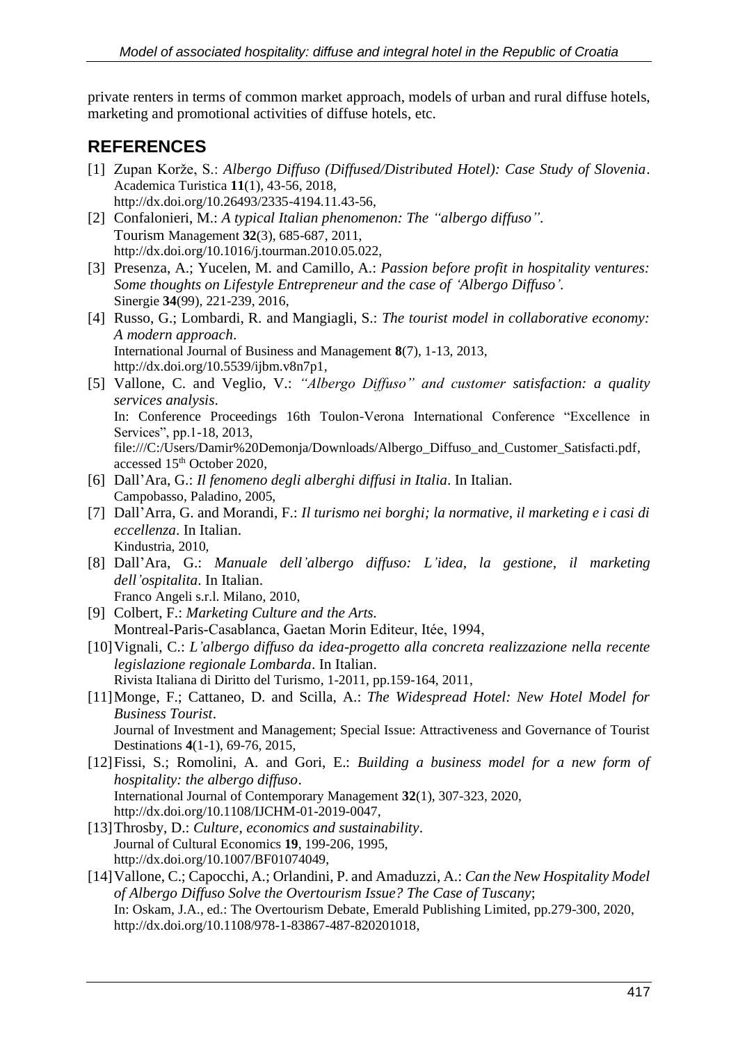private renters in terms of common market approach, models of urban and rural diffuse hotels, marketing and promotional activities of diffuse hotels, etc.

## **REFERENCES**

- [1] Zupan Korže, S.: *Albergo Diffuso (Diffused/Distributed Hotel): Case Study of Slovenia*. Academica Turistica **11**(1), 43-56, 2018, http://dx.doi.org/10.26493/2335-4194.11.43-56,
- [2] Confalonieri, M.: *A typical Italian phenomenon: The "albergo diffuso"*. Tourism Management **32**(3), 685-687, 2011, http://dx.doi.org/10.1016/j.tourman.2010.05.022,
- [3] Presenza, A.; Yucelen, M. and Camillo, A.: *Passion before profit in hospitality ventures: Some thoughts on Lifestyle Entrepreneur and the case of 'Albergo Diffuso'.* Sinergie **34**(99), 221-239, 2016,
- [4] Russo, G.; Lombardi, R. and Mangiagli, S.: *The tourist model in collaborative economy: A modern approach*. International Journal of Business and Management **8**(7), 1-13, 2013, [http://dx.doi.org/10.5539/ijbm.v8n7p1,](http://dx.doi.org/10.5539/ijbm.v8n7p1)
- [5] Vallone, C. and Veglio, V.: *"Albergo Diffuso" and customer satisfaction: a quality services analysis*. In: Conference Proceedings 16th Toulon-Verona International Conference "Excellence in Services", pp.1-18, 2013, [file:///C:/Users/Damir%20Demonja/Downloads/Albergo\\_Diffuso\\_and\\_Customer\\_Satisfacti.pdf,](file:///C:/Users/Damir%20Demonja/Downloads/Albergo_Diffuso_and_Customer_Satisfacti.pdf) accessed 15<sup>th</sup> October 2020,
- [6] Dall'Ara, G.: *Il fenomeno degli alberghi diffusi in Italia*. In Italian. Campobasso, Paladino, 2005,
- [7] Dall'Arra, G. and Morandi, F.: *Il turismo nei borghi; la normative, il marketing e i casi di eccellenza*. In Italian. Kindustria, 2010,
- [8] Dall'Ara, G.: *Manuale dell'albergo diffuso: L'idea, la gestione, il marketing dell'ospitalita*. In Italian. Franco Angeli s.r.l. Milano, 2010,
- [9] Colbert, F.: *Marketing Culture and the Arts.* Montreal-Paris-Casablanca, Gaetan Morin Editeur, Itée, 1994,
- [10]Vignali, C.: *L'albergo diffuso da idea-progetto alla concreta realizzazione nella recente legislazione regionale Lombarda*. In Italian. Rivista Italiana di Diritto del Turismo, 1-2011, pp.159-164, 2011,
- [11]Monge, F.; Cattaneo, D. and Scilla, A.: *The Widespread Hotel: New Hotel Model for Business Tourist*. Journal of Investment and Management; Special Issue: Attractiveness and Governance of Tourist Destinations **4**(1-1), 69-76, 2015,
- [12]Fissi, S.; Romolini, A. and Gori, E.: *Building a business model for a new form of hospitality: the albergo diffuso*. International Journal of Contemporary Management **32**(1), 307-323, 2020, http://dx.doi.org/10.1108/IJCHM-01-2019-0047,
- [13]Throsby, D.: *Culture, economics and sustainability*. Journal of Cultural Economics **19**, 199-206, 1995, http://dx.doi.org/10.1007/BF01074049,
- [14[\]Vallone, C.;](https://www.emerald.com/insight/search?q=Cinzia%20Vallone) [Capocchi, A.;](https://www.emerald.com/insight/search?q=Alessandro%20Capocchi) [Orlandini, P.](https://www.emerald.com/insight/search?q=Paola%20Orlandini) and [Amaduzzi, A.:](https://www.emerald.com/insight/search?q=Andrea%20Amaduzzi) *Can the New Hospitality Model of Albergo Diffuso Solve the Overtourism Issue? The Case of Tuscany*; In: [Oskam, J.A.,](https://www.emerald.com/insight/search?q=Jeoren%20A.%20Oskam) ed.: The Overtourism Debate, Emerald Publishing Limited, pp.279-300, 2020, [http://dx.doi.org/10.1108/978-1-83867-487-820201018,](https://doi.org/10.1108/978-1-83867-487-820201018)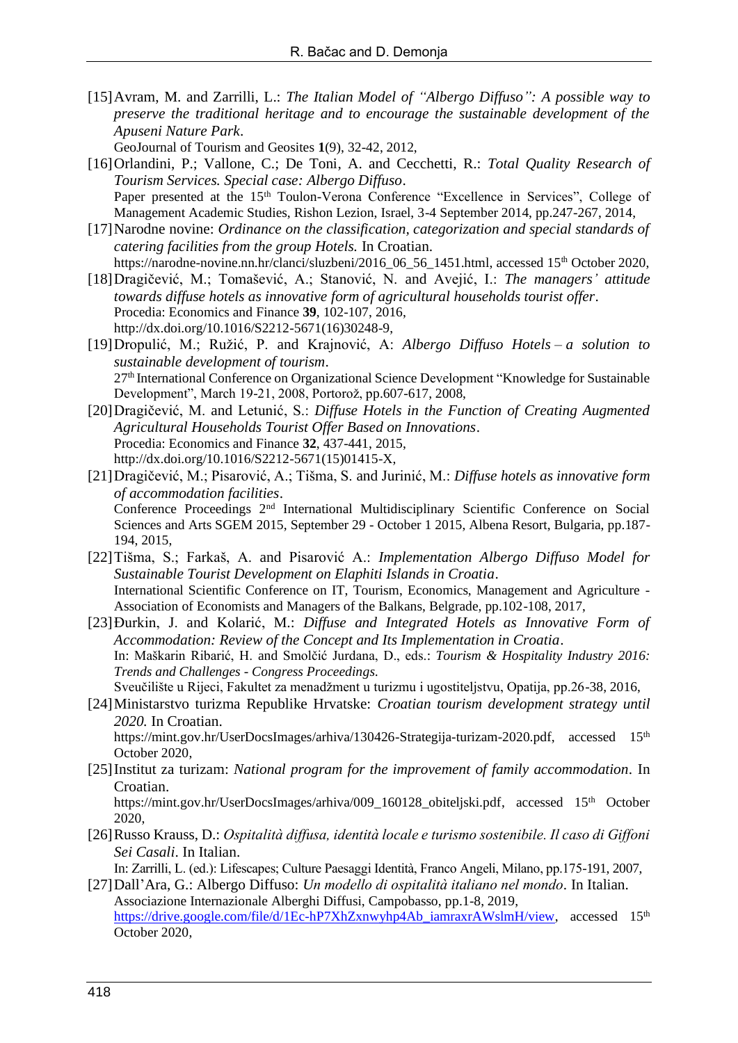[15]Avram, M. and Zarrilli, L.: *The Italian Model of "Albergo Diffuso": A possible way to preserve the traditional heritage and to encourage the sustainable development of the Apuseni Nature Park*.

GeoJournal of Tourism and Geosites **1**(9), 32-42, 2012,

- [16]Orlandini, P.; Vallone, C.; De Toni, A. and Cecchetti, R.: *Total Quality Research of Tourism Services. Special case: Albergo Diffuso*. Paper presented at the 15<sup>th</sup> Toulon-Verona Conference "Excellence in Services", College of Management Academic Studies, Rishon Lezion, Israel, 3-4 September 2014, pp.247-267, 2014,
- [17]Narodne novine: *Ordinance on the classification, categorization and special standards of catering facilities from the group Hotels.* In Croatian. [https://narodne-novine.nn.hr/clanci/sluzbeni/2016\\_06\\_56\\_1451.html,](https://narodne-novine.nn.hr/clanci/sluzbeni/2016_06_56_1451.html) accessed 15<sup>th</sup> October 2020,
- [18]Dragičević, M.; Tomašević, A.; Stanović, N. and Avejić, I.: *The managers' attitude towards diffuse hotels as innovative form of agricultural households tourist offer*. Procedia: Economics and Finance **39**, 102-107, 2016, http://dx.doi.org/10.1016/S2212-5671(16)30248-9,
- [19]Dropulić, M.; Ružić, P. and Krajnović, A: *Albergo Diffuso Hotels ‒ a solution to sustainable development of tourism*. 27th International Conference on Organizational Science Development "Knowledge for Sustainable Development", March 19-21, 2008, Portorož, pp.607-617, 2008,
- [20]Dragičević, M. and Letunić, S.: *Diffuse Hotels in the Function of Creating Augmented Agricultural Households Tourist Offer Based on Innovations*. Procedia: Economics and Finance **32**, 437-441, 2015, http://dx.doi.org/10.1016/S2212-5671(15)01415-X,
- [21]Dragičević, M.; Pisarović, A.; Tišma, S. and Jurinić, M.: *Diffuse hotels as innovative form of accommodation facilities*. Conference Proceedings 2nd International Multidisciplinary Scientific Conference on Social Sciences and Arts SGEM 2015, September 29 - October 1 2015, Albena Resort, Bulgaria, pp.187- 194, 2015,
- [22]Tišma, S.; Farkaš, A. and Pisarović A.: *Implementation Albergo Diffuso Model for Sustainable Tourist Development on Elaphiti Islands in Croatia*. International Scientific Conference on IT, Tourism, Economics, Management and Agriculture - Association of Economists and Managers of the Balkans, Belgrade, pp.102-108, 2017,
- [23]Đurkin, J. and Kolarić, M.: *Diffuse and Integrated Hotels as Innovative Form of Accommodation: Review of the Concept and Its Implementation in Croatia*. In: Maškarin Ribarić, H. and Smolčić Jurdana, D., eds.: *Tourism & Hospitality Industry 2016: Trends and Challenges - Congress Proceedings.*
	- Sveučilište u Rijeci, Fakultet za menadžment u turizmu i ugostiteljstvu, Opatija, pp.26-38, 2016,
- [24]Ministarstvo turizma Republike Hrvatske: *Croatian tourism development strategy until 2020.* In Croatian.

[https://mint.gov.hr/UserDocsImages/arhiva/130426-Strategija-turizam-2020.pdf,](https://mint.gov.hr/UserDocsImages/arhiva/130426-Strategija-turizam-2020.pdf) accessed 15<sup>th</sup> October 2020,

[25]Institut za turizam: *National program for the improvement of family accommodation.* In Croatian.

[https://mint.gov.hr/UserDocsImages/arhiva/009\\_160128\\_obiteljski.pdf,](https://mint.gov.hr/UserDocsImages/arhiva/009_160128_obiteljski.pdf) accessed 15<sup>th</sup> October 2020,

[26]Russo Krauss, D.: *Ospitalità diffusa, identità locale e turismo sostenibile. Il caso di Giffoni Sei Casali*. In Italian.

In: Zarrilli, L. (ed.): Lifescapes; Culture Paesaggi Identità, Franco Angeli, Milano, pp.175-191, 2007,

[27]Dall'Ara, G.: Albergo Diffuso: *Un modello di ospitalità italiano nel mondo.* In Italian. Associazione Internazionale Alberghi Diffusi, Campobasso, pp.1-8, 2019, [https://drive.google.com/file/d/1Ec-hP7XhZxnwyhp4Ab\\_iamraxrAWslmH/view,](https://drive.google.com/file/d/1Ec-hP7XhZxnwyhp4Ab_iamraxrAWslmH/view) accessed 15<sup>th</sup> October 2020,